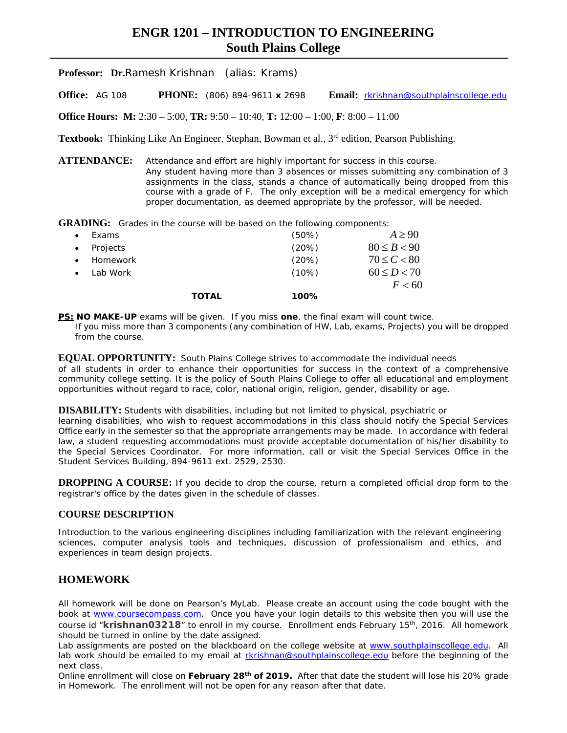# **ENGR 1201 – INTRODUCTION TO ENGINEERING South Plains College**

**Professor: Dr.**Ramesh Krishnan (alias: Krams)

**Office:** AG 108 **PHONE:** (806) 894-9611 **x** 2698 **Email:** [rkrishnan@southplainscollege.edu](mailto:rkrishnan@southplainscollege.edu)

**Office Hours: M:** 2:30 – 5:00, **TR:** 9:50 – 10:40, **T:** 12:00 – 1:00, **F**: 8:00 – 11:00

**Textbook:** Thinking Like An Engineer, Stephan, Bowman et al., 3<sup>rd</sup> edition, Pearson Publishing.

**ATTENDANCE:** Attendance and effort are highly important for success in this course. Any student having more than 3 absences or misses submitting any combination of 3 assignments in the class, stands a chance of automatically being dropped from this course with a grade of F. The only exception will be a medical emergency for which proper documentation, as deemed appropriate by the professor, will be needed.

**GRADING:** Grades in the course will be based on the following components:

|           |          | TOTAL | 100%     |                 |
|-----------|----------|-------|----------|-----------------|
|           |          |       |          | F < 60          |
|           | Lab Work |       | $(10\%)$ | $60 \le D < 70$ |
| $\bullet$ | Homework |       | (20%)    | $70 \le C < 80$ |
| $\bullet$ | Projects |       | (20%)    | $80 \le B < 90$ |
| $\bullet$ | Exams    |       | $(50\%)$ | $A \geq 90$     |

**PS: NO MAKE-UP** exams will be given. If you miss **one**, the final exam will count twice. If you miss more than 3 components (any combination of HW, Lab, exams, Projects) you will be dropped from the course.

**EQUAL OPPORTUNITY:** South Plains College strives to accommodate the individual needs of all students in order to enhance their opportunities for success in the context of a comprehensive community college setting. It is the policy of South Plains College to offer all educational and employment opportunities without regard to race, color, national origin, religion, gender, disability or age.

**DISABILITY:** Students with disabilities, including but not limited to physical, psychiatric or learning disabilities, who wish to request accommodations in this class should notify the Special Services Office early in the semester so that the appropriate arrangements may be made. In accordance with federal law, a student requesting accommodations must provide acceptable documentation of his/her disability to the Special Services Coordinator. For more information, call or visit the Special Services Office in the Student Services Building, 894-9611 ext. 2529, 2530.

**DROPPING A COURSE:** If you decide to drop the course, return a completed official drop form to the registrar's office by the dates given in the schedule of classes.

#### **COURSE DESCRIPTION**

Introduction to the various engineering disciplines including familiarization with the relevant engineering sciences, computer analysis tools and techniques, discussion of professionalism and ethics, and experiences in team design projects.

### **HOMEWORK**

All homework will be done on Pearson's MyLab. Please create an account using the code bought with the book at [www.coursecompass.com.](http://www.coursecompass.com/) Once you have your login details to this website then you will use the course id "**krishnan03218**" to enroll in my course. Enrollment ends February 15th, 2016. All homework should be turned in online by the date assigned.

Lab assignments are posted on the blackboard on the college website at [www.southplainscollege.edu.](http://www.southplainscollege.edu/) All lab work should be emailed to my email at [rkrishnan@southplainscollege.edu](mailto:rkrishnan@southplainscollege.edu) before the beginning of the next class.

Online enrollment will close on **February 28th of 2019.** After that date the student will lose his 20% grade in Homework. The enrollment will not be open for any reason after that date.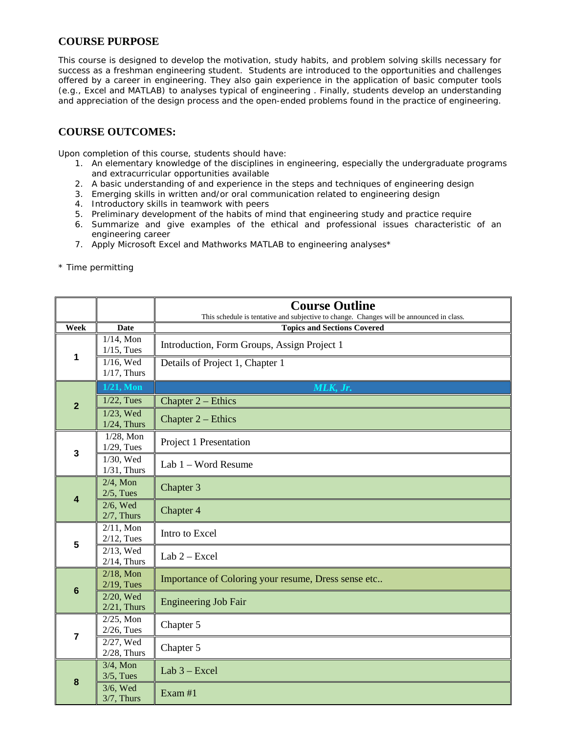# **COURSE PURPOSE**

This course is designed to develop the motivation, study habits, and problem solving skills necessary for success as a freshman engineering student. Students are introduced to the opportunities and challenges offered by a career in engineering. They also gain experience in the application of basic computer tools (e.g., Excel and MATLAB) to analyses typical of engineering . Finally, students develop an understanding and appreciation of the design process and the open-ended problems found in the practice of engineering.

## **COURSE OUTCOMES:**

Upon completion of this course, students should have:

- 1. An elementary knowledge of the disciplines in engineering, especially the undergraduate programs and extracurricular opportunities available
- 2. A basic understanding of and experience in the steps and techniques of engineering design
- 3. Emerging skills in written and/or oral communication related to engineering design
- 4. Introductory skills in teamwork with peers
- 5. Preliminary development of the habits of mind that engineering study and practice require
- 6. Summarize and give examples of the ethical and professional issues characteristic of an engineering career
- 7. Apply Microsoft Excel and Mathworks MATLAB to engineering analyses\*

\* Time permitting

|                         |                                | <b>Course Outline</b><br>This schedule is tentative and subjective to change. Changes will be announced in class. |  |  |
|-------------------------|--------------------------------|-------------------------------------------------------------------------------------------------------------------|--|--|
| Week                    | <b>Date</b>                    | <b>Topics and Sections Covered</b>                                                                                |  |  |
|                         | $1/14$ , Mon<br>$1/15$ , Tues  | Introduction, Form Groups, Assign Project 1                                                                       |  |  |
| 1                       | $1/16$ , Wed<br>$1/17$ , Thurs | Details of Project 1, Chapter 1                                                                                   |  |  |
|                         | $1/21$ , Mon                   | MLK, Jr.                                                                                                          |  |  |
| $\overline{2}$          | $1/22$ , Tues                  | Chapter $2$ – Ethics                                                                                              |  |  |
|                         | $1/23$ , Wed<br>$1/24$ , Thurs | Chapter $2$ – Ethics                                                                                              |  |  |
| $\overline{\mathbf{3}}$ | $1/28$ , Mon<br>$1/29$ , Tues  | Project 1 Presentation                                                                                            |  |  |
|                         | $1/30$ , Wed<br>$1/31$ , Thurs | Lab 1 - Word Resume                                                                                               |  |  |
| 4                       | $2/4$ , Mon<br>$2/5$ , Tues    | Chapter 3                                                                                                         |  |  |
|                         | $2/6$ , Wed<br>$2/7$ , Thurs   | Chapter 4                                                                                                         |  |  |
| 5                       | $2/11$ , Mon<br>$2/12$ , Tues  | Intro to Excel                                                                                                    |  |  |
|                         | $2/13$ , Wed<br>$2/14$ , Thurs | $Lab 2 - Excel$                                                                                                   |  |  |
| $6\phantom{1}6$         | $2/18$ , Mon<br>$2/19$ , Tues  | Importance of Coloring your resume, Dress sense etc                                                               |  |  |
|                         | 2/20, Wed<br>$2/21$ , Thurs    | <b>Engineering Job Fair</b>                                                                                       |  |  |
| $\overline{7}$          | $2/25$ , Mon<br>$2/26$ , Tues  | Chapter 5                                                                                                         |  |  |
|                         | 2/27, Wed<br>$2/28$ , Thurs    | Chapter 5                                                                                                         |  |  |
| 8                       | $3/4$ , Mon<br>$3/5$ , Tues    | Lab $3 - Excel$                                                                                                   |  |  |
|                         | 3/6, Wed<br>$3/7$ , Thurs      | Exam #1                                                                                                           |  |  |